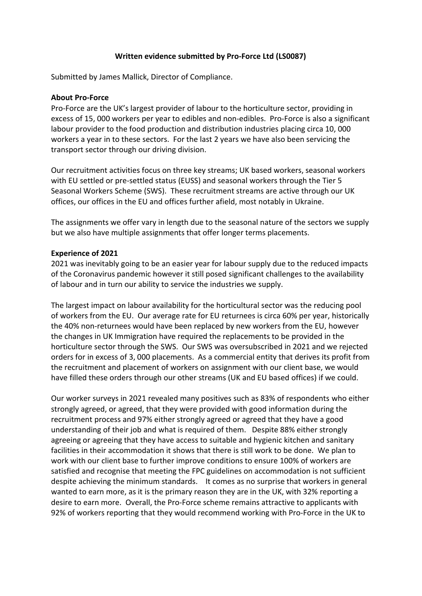## **Written evidence submitted by Pro-Force Ltd (LS0087)**

Submitted by James Mallick, Director of Compliance.

## **About Pro-Force**

Pro-Force are the UK's largest provider of labour to the horticulture sector, providing in excess of 15, 000 workers per year to edibles and non-edibles. Pro-Force is also a significant labour provider to the food production and distribution industries placing circa 10, 000 workers a year in to these sectors. For the last 2 years we have also been servicing the transport sector through our driving division.

Our recruitment activities focus on three key streams; UK based workers, seasonal workers with EU settled or pre-settled status (EUSS) and seasonal workers through the Tier 5 Seasonal Workers Scheme (SWS). These recruitment streams are active through our UK offices, our offices in the EU and offices further afield, most notably in Ukraine.

The assignments we offer vary in length due to the seasonal nature of the sectors we supply but we also have multiple assignments that offer longer terms placements.

## **Experience of 2021**

2021 was inevitably going to be an easier year for labour supply due to the reduced impacts of the Coronavirus pandemic however it still posed significant challenges to the availability of labour and in turn our ability to service the industries we supply.

The largest impact on labour availability for the horticultural sector was the reducing pool of workers from the EU. Our average rate for EU returnees is circa 60% per year, historically the 40% non-returnees would have been replaced by new workers from the EU, however the changes in UK Immigration have required the replacements to be provided in the horticulture sector through the SWS. Our SWS was oversubscribed in 2021 and we rejected orders for in excess of 3, 000 placements. As a commercial entity that derives its profit from the recruitment and placement of workers on assignment with our client base, we would have filled these orders through our other streams (UK and EU based offices) if we could.

Our worker surveys in 2021 revealed many positives such as 83% of respondents who either strongly agreed, or agreed, that they were provided with good information during the recruitment process and 97% either strongly agreed or agreed that they have a good understanding of their job and what is required of them. Despite 88% either strongly agreeing or agreeing that they have access to suitable and hygienic kitchen and sanitary facilities in their accommodation it shows that there is still work to be done. We plan to work with our client base to further improve conditions to ensure 100% of workers are satisfied and recognise that meeting the FPC guidelines on accommodation is not sufficient despite achieving the minimum standards. It comes as no surprise that workers in general wanted to earn more, as it is the primary reason they are in the UK, with 32% reporting a desire to earn more. Overall, the Pro-Force scheme remains attractive to applicants with 92% of workers reporting that they would recommend working with Pro-Force in the UK to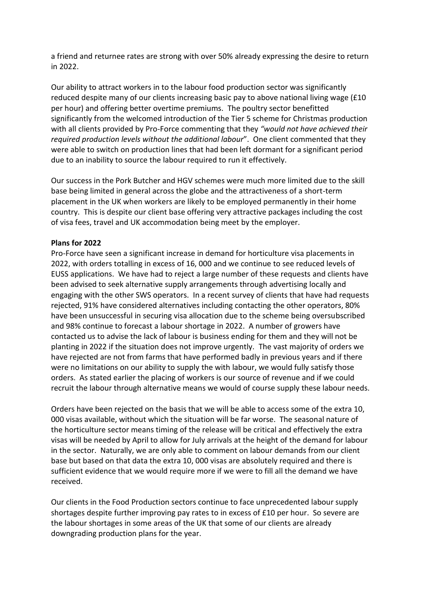a friend and returnee rates are strong with over 50% already expressing the desire to return in 2022.

Our ability to attract workers in to the labour food production sector was significantly reduced despite many of our clients increasing basic pay to above national living wage (£10 per hour) and offering better overtime premiums. The poultry sector benefitted significantly from the welcomed introduction of the Tier 5 scheme for Christmas production with all clients provided by Pro-Force commenting that they *"would not have achieved their required production levels without the additional labour*". One client commented that they were able to switch on production lines that had been left dormant for a significant period due to an inability to source the labour required to run it effectively.

Our success in the Pork Butcher and HGV schemes were much more limited due to the skill base being limited in general across the globe and the attractiveness of a short-term placement in the UK when workers are likely to be employed permanently in their home country. This is despite our client base offering very attractive packages including the cost of visa fees, travel and UK accommodation being meet by the employer.

## **Plans for 2022**

Pro-Force have seen a significant increase in demand for horticulture visa placements in 2022, with orders totalling in excess of 16, 000 and we continue to see reduced levels of EUSS applications. We have had to reject a large number of these requests and clients have been advised to seek alternative supply arrangements through advertising locally and engaging with the other SWS operators. In a recent survey of clients that have had requests rejected, 91% have considered alternatives including contacting the other operators, 80% have been unsuccessful in securing visa allocation due to the scheme being oversubscribed and 98% continue to forecast a labour shortage in 2022. A number of growers have contacted us to advise the lack of labour is business ending for them and they will not be planting in 2022 if the situation does not improve urgently. The vast majority of orders we have rejected are not from farms that have performed badly in previous years and if there were no limitations on our ability to supply the with labour, we would fully satisfy those orders. As stated earlier the placing of workers is our source of revenue and if we could recruit the labour through alternative means we would of course supply these labour needs.

Orders have been rejected on the basis that we will be able to access some of the extra 10, 000 visas available, without which the situation will be far worse. The seasonal nature of the horticulture sector means timing of the release will be critical and effectively the extra visas will be needed by April to allow for July arrivals at the height of the demand for labour in the sector. Naturally, we are only able to comment on labour demands from our client base but based on that data the extra 10, 000 visas are absolutely required and there is sufficient evidence that we would require more if we were to fill all the demand we have received.

Our clients in the Food Production sectors continue to face unprecedented labour supply shortages despite further improving pay rates to in excess of £10 per hour. So severe are the labour shortages in some areas of the UK that some of our clients are already downgrading production plans for the year.